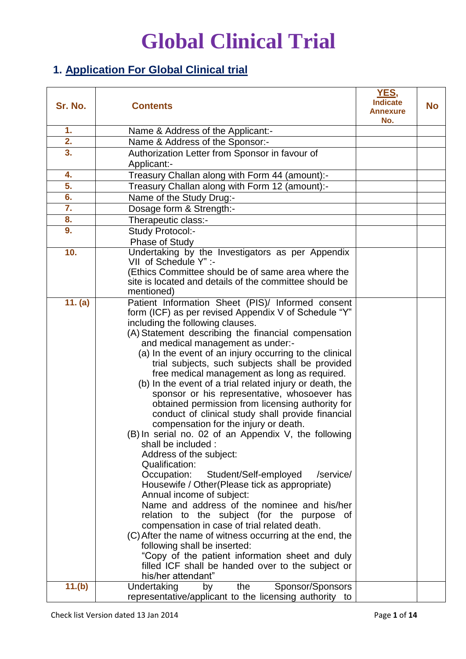### **1. Application For Global Clinical trial**

| Sr. No. | <b>Contents</b>                                                                                            | YES,<br><b>Indicate</b><br><b>Annexure</b><br>No. | No |
|---------|------------------------------------------------------------------------------------------------------------|---------------------------------------------------|----|
| 1.      | Name & Address of the Applicant:-                                                                          |                                                   |    |
| 2.      | Name & Address of the Sponsor:-                                                                            |                                                   |    |
| 3.      | Authorization Letter from Sponsor in favour of                                                             |                                                   |    |
|         | Applicant:-                                                                                                |                                                   |    |
| 4.      | Treasury Challan along with Form 44 (amount):-                                                             |                                                   |    |
| 5.      | Treasury Challan along with Form 12 (amount):-                                                             |                                                   |    |
| 6.      | Name of the Study Drug:-                                                                                   |                                                   |    |
| 7.      | Dosage form & Strength:-                                                                                   |                                                   |    |
| 8.      | Therapeutic class:-                                                                                        |                                                   |    |
| 9.      | Study Protocol:-                                                                                           |                                                   |    |
|         | <b>Phase of Study</b>                                                                                      |                                                   |    |
| 10.     | Undertaking by the Investigators as per Appendix                                                           |                                                   |    |
|         | VII of Schedule Y" :-                                                                                      |                                                   |    |
|         | (Ethics Committee should be of same area where the                                                         |                                                   |    |
|         | site is located and details of the committee should be                                                     |                                                   |    |
|         | mentioned)                                                                                                 |                                                   |    |
| 11. (a) | Patient Information Sheet (PIS)/ Informed consent                                                          |                                                   |    |
|         | form (ICF) as per revised Appendix V of Schedule "Y"                                                       |                                                   |    |
|         | including the following clauses.                                                                           |                                                   |    |
|         | (A) Statement describing the financial compensation                                                        |                                                   |    |
|         | and medical management as under:-                                                                          |                                                   |    |
|         | (a) In the event of an injury occurring to the clinical<br>trial subjects, such subjects shall be provided |                                                   |    |
|         | free medical management as long as required.                                                               |                                                   |    |
|         | (b) In the event of a trial related injury or death, the                                                   |                                                   |    |
|         | sponsor or his representative, whosoever has                                                               |                                                   |    |
|         | obtained permission from licensing authority for                                                           |                                                   |    |
|         | conduct of clinical study shall provide financial                                                          |                                                   |    |
|         | compensation for the injury or death.                                                                      |                                                   |    |
|         | (B) In serial no. 02 of an Appendix V, the following                                                       |                                                   |    |
|         | shall be included :                                                                                        |                                                   |    |
|         | Address of the subject:                                                                                    |                                                   |    |
|         | <b>Qualification:</b>                                                                                      |                                                   |    |
|         | Occupation: Student/Self-employed<br>/service/                                                             |                                                   |    |
|         | Housewife / Other (Please tick as appropriate)                                                             |                                                   |    |
|         | Annual income of subject:<br>Name and address of the nominee and his/her                                   |                                                   |    |
|         | relation to the subject (for the purpose of                                                                |                                                   |    |
|         | compensation in case of trial related death.                                                               |                                                   |    |
|         | (C) After the name of witness occurring at the end, the                                                    |                                                   |    |
|         | following shall be inserted:                                                                               |                                                   |    |
|         | "Copy of the patient information sheet and duly                                                            |                                                   |    |
|         | filled ICF shall be handed over to the subject or                                                          |                                                   |    |
|         | his/her attendant"                                                                                         |                                                   |    |
| 11.(b)  | Sponsor/Sponsors<br>Undertaking<br>by<br>the                                                               |                                                   |    |
|         | representative/applicant to the licensing authority to                                                     |                                                   |    |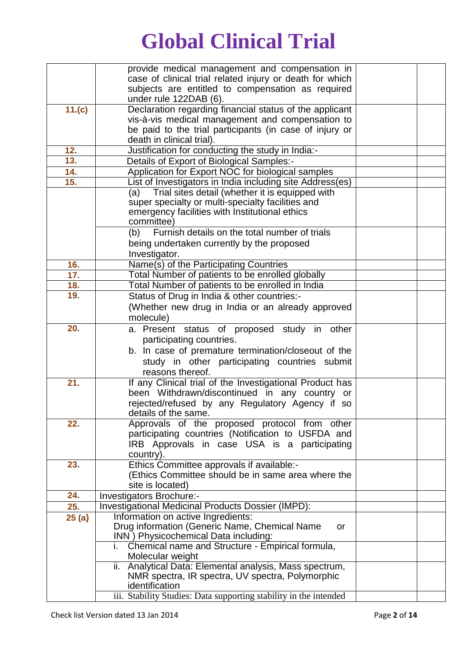|            | provide medical management and compensation in                                                      |  |
|------------|-----------------------------------------------------------------------------------------------------|--|
|            | case of clinical trial related injury or death for which                                            |  |
|            | subjects are entitled to compensation as required                                                   |  |
|            | under rule 122DAB (6).                                                                              |  |
| 11.(c)     | Declaration regarding financial status of the applicant                                             |  |
|            | vis-à-vis medical management and compensation to                                                    |  |
|            | be paid to the trial participants (in case of injury or                                             |  |
|            | death in clinical trial).                                                                           |  |
| 12.        | Justification for conducting the study in India:-                                                   |  |
| 13.        | Details of Export of Biological Samples:-                                                           |  |
| 14.        | Application for Export NOC for biological samples                                                   |  |
| 15.        | List of Investigators in India including site Address(es)                                           |  |
|            | (a) Trial sites detail (whether it is equipped with                                                 |  |
|            | super specialty or multi-specialty facilities and                                                   |  |
|            | emergency facilities with Institutional ethics<br>committee)                                        |  |
|            | Furnish details on the total number of trials<br>(b)                                                |  |
|            |                                                                                                     |  |
|            | being undertaken currently by the proposed                                                          |  |
|            | Investigator.<br>Name(s) of the Participating Countries                                             |  |
| 16.<br>17. | Total Number of patients to be enrolled globally                                                    |  |
| 18.        | Total Number of patients to be enrolled in India                                                    |  |
| 19.        | Status of Drug in India & other countries:-                                                         |  |
|            | (Whether new drug in India or an already approved                                                   |  |
|            | molecule)                                                                                           |  |
| 20.        |                                                                                                     |  |
|            | a. Present status of proposed study in other                                                        |  |
|            | participating countries.                                                                            |  |
|            | b. In case of premature termination/closeout of the                                                 |  |
|            | study in other participating countries submit                                                       |  |
|            | reasons thereof.                                                                                    |  |
| 21.        | If any Clinical trial of the Investigational Product has                                            |  |
|            | been Withdrawn/discontinued in any country or                                                       |  |
|            | rejected/refused by any Regulatory Agency if so                                                     |  |
| 22.        | details of the same.                                                                                |  |
|            | Approvals of the proposed protocol from other<br>participating countries (Notification to USFDA and |  |
|            | IRB Approvals in case USA is a participating                                                        |  |
|            | country).                                                                                           |  |
| 23.        | Ethics Committee approvals if available:-                                                           |  |
|            | (Ethics Committee should be in same area where the                                                  |  |
|            | site is located)                                                                                    |  |
| 24.        | Investigators Brochure:-                                                                            |  |
| 25.        | Investigational Medicinal Products Dossier (IMPD):                                                  |  |
| 25(a)      | Information on active Ingredients:                                                                  |  |
|            | Drug information (Generic Name, Chemical Name<br>or                                                 |  |
|            | INN) Physicochemical Data including:                                                                |  |
|            | i. Chemical name and Structure - Empirical formula,                                                 |  |
|            | Molecular weight                                                                                    |  |
|            | ii. Analytical Data: Elemental analysis, Mass spectrum,                                             |  |
|            | NMR spectra, IR spectra, UV spectra, Polymorphic                                                    |  |
|            | identification                                                                                      |  |
|            | iii. Stability Studies: Data supporting stability in the intended                                   |  |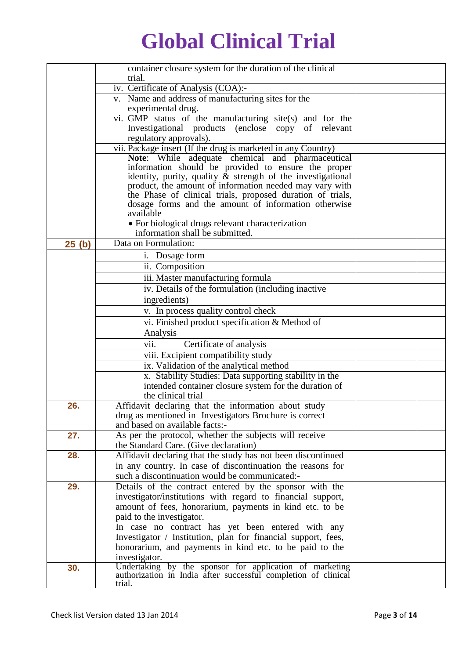|       | container closure system for the duration of the clinical                                                                 |  |
|-------|---------------------------------------------------------------------------------------------------------------------------|--|
|       | trial.                                                                                                                    |  |
|       | iv. Certificate of Analysis (COA):-                                                                                       |  |
|       | v. Name and address of manufacturing sites for the                                                                        |  |
|       | experimental drug.                                                                                                        |  |
|       | vi. GMP status of the manufacturing site(s) and for the                                                                   |  |
|       | Investigational products (enclose copy of relevant                                                                        |  |
|       | regulatory approvals).                                                                                                    |  |
|       | vii. Package insert (If the drug is marketed in any Country)                                                              |  |
|       | Note: While adequate chemical and pharmaceutical                                                                          |  |
|       | information should be provided to ensure the proper                                                                       |  |
|       | identity, purity, quality $\&$ strength of the investigational<br>product, the amount of information needed may vary with |  |
|       | the Phase of clinical trials, proposed duration of trials,                                                                |  |
|       | dosage forms and the amount of information otherwise                                                                      |  |
|       | available                                                                                                                 |  |
|       | • For biological drugs relevant characterization                                                                          |  |
|       | information shall be submitted.                                                                                           |  |
| 25(h) | Data on Formulation:                                                                                                      |  |
|       | i. Dosage form                                                                                                            |  |
|       | ii. Composition                                                                                                           |  |
|       | iii. Master manufacturing formula                                                                                         |  |
|       | iv. Details of the formulation (including inactive                                                                        |  |
|       | ingredients)                                                                                                              |  |
|       | v. In process quality control check                                                                                       |  |
|       | vi. Finished product specification & Method of                                                                            |  |
|       | Analysis                                                                                                                  |  |
|       | vii.<br>Certificate of analysis                                                                                           |  |
|       | viii. Excipient compatibility study                                                                                       |  |
|       | ix. Validation of the analytical method                                                                                   |  |
|       | x. Stability Studies: Data supporting stability in the                                                                    |  |
|       | intended container closure system for the duration of                                                                     |  |
|       | the clinical trial                                                                                                        |  |
| 26.   | Affidavit declaring that the information about study                                                                      |  |
|       | drug as mentioned in Investigators Brochure is correct                                                                    |  |
|       | and based on available facts:-                                                                                            |  |
| 27.   | As per the protocol, whether the subjects will receive                                                                    |  |
|       | the Standard Care. (Give declaration)                                                                                     |  |
| 28.   | Affidavit declaring that the study has not been discontinued                                                              |  |
|       | in any country. In case of discontinuation the reasons for                                                                |  |
|       | such a discontinuation would be communicated:-                                                                            |  |
| 29.   | Details of the contract entered by the sponsor with the                                                                   |  |
|       | investigator/institutions with regard to financial support,                                                               |  |
|       | amount of fees, honorarium, payments in kind etc. to be                                                                   |  |
|       | paid to the investigator.                                                                                                 |  |
|       | In case no contract has yet been entered with any                                                                         |  |
|       | Investigator / Institution, plan for financial support, fees,                                                             |  |
|       | honorarium, and payments in kind etc. to be paid to the                                                                   |  |
|       | investigator.                                                                                                             |  |
| 30.   | Undertaking by the sponsor for application of marketing<br>authorization in India after successful completion of clinical |  |
|       | trial.                                                                                                                    |  |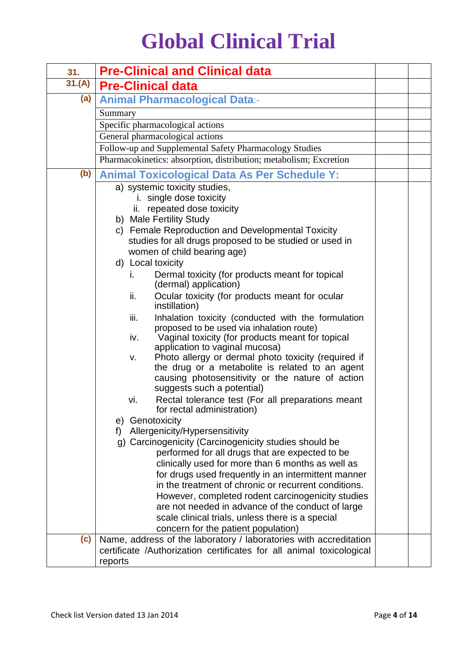| 31.    | <b>Pre-Clinical and Clinical data</b>                                                                                                                                                                                            |  |
|--------|----------------------------------------------------------------------------------------------------------------------------------------------------------------------------------------------------------------------------------|--|
| 31.(A) | <b>Pre-Clinical data</b>                                                                                                                                                                                                         |  |
| (a)    | <b>Animal Pharmacological Data:-</b>                                                                                                                                                                                             |  |
|        | Summary                                                                                                                                                                                                                          |  |
|        | Specific pharmacological actions                                                                                                                                                                                                 |  |
|        | General pharmacological actions                                                                                                                                                                                                  |  |
|        | Follow-up and Supplemental Safety Pharmacology Studies                                                                                                                                                                           |  |
|        | Pharmacokinetics: absorption, distribution; metabolism; Excretion                                                                                                                                                                |  |
| (b)    | <b>Animal Toxicological Data As Per Schedule Y:</b>                                                                                                                                                                              |  |
|        | a) systemic toxicity studies,                                                                                                                                                                                                    |  |
|        | i. single dose toxicity                                                                                                                                                                                                          |  |
|        | ii. repeated dose toxicity                                                                                                                                                                                                       |  |
|        | b) Male Fertility Study                                                                                                                                                                                                          |  |
|        | c) Female Reproduction and Developmental Toxicity                                                                                                                                                                                |  |
|        | studies for all drugs proposed to be studied or used in                                                                                                                                                                          |  |
|        | women of child bearing age)                                                                                                                                                                                                      |  |
|        | d) Local toxicity                                                                                                                                                                                                                |  |
|        | Dermal toxicity (for products meant for topical<br>İ.<br>(dermal) application)                                                                                                                                                   |  |
|        | Ocular toxicity (for products meant for ocular<br>ii.<br>instillation)                                                                                                                                                           |  |
|        | iii.<br>Inhalation toxicity (conducted with the formulation<br>proposed to be used via inhalation route)<br>Vaginal toxicity (for products meant for topical<br>iv.                                                              |  |
|        | application to vaginal mucosa)<br>Photo allergy or dermal photo toxicity (required if<br>v.<br>the drug or a metabolite is related to an agent<br>causing photosensitivity or the nature of action<br>suggests such a potential) |  |
|        | Rectal tolerance test (For all preparations meant<br>vi.<br>for rectal administration)                                                                                                                                           |  |
|        | Genotoxicity<br>e)                                                                                                                                                                                                               |  |
|        | Allergenicity/Hypersensitivity<br>f)<br>g) Carcinogenicity (Carcinogenicity studies should be                                                                                                                                    |  |
|        | performed for all drugs that are expected to be                                                                                                                                                                                  |  |
|        | clinically used for more than 6 months as well as                                                                                                                                                                                |  |
|        | for drugs used frequently in an intermittent manner                                                                                                                                                                              |  |
|        | in the treatment of chronic or recurrent conditions.                                                                                                                                                                             |  |
|        | However, completed rodent carcinogenicity studies                                                                                                                                                                                |  |
|        | are not needed in advance of the conduct of large                                                                                                                                                                                |  |
|        | scale clinical trials, unless there is a special                                                                                                                                                                                 |  |
|        | concern for the patient population)                                                                                                                                                                                              |  |
| (c)    | Name, address of the laboratory / laboratories with accreditation<br>certificate /Authorization certificates for all animal toxicological                                                                                        |  |
|        | reports                                                                                                                                                                                                                          |  |
|        |                                                                                                                                                                                                                                  |  |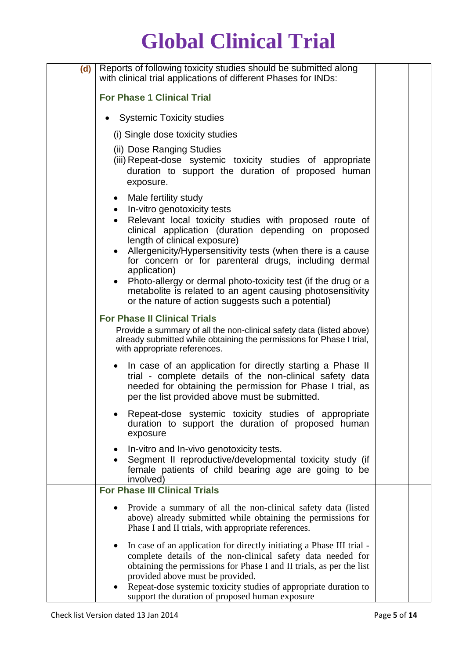| (d) | Reports of following toxicity studies should be submitted along<br>with clinical trial applications of different Phases for INDs:                                                                                                                                                                                    |  |
|-----|----------------------------------------------------------------------------------------------------------------------------------------------------------------------------------------------------------------------------------------------------------------------------------------------------------------------|--|
|     | <b>For Phase 1 Clinical Trial</b>                                                                                                                                                                                                                                                                                    |  |
|     | <b>Systemic Toxicity studies</b>                                                                                                                                                                                                                                                                                     |  |
|     | (i) Single dose toxicity studies                                                                                                                                                                                                                                                                                     |  |
|     | (ii) Dose Ranging Studies<br>(iii) Repeat-dose systemic toxicity studies of appropriate<br>duration to support the duration of proposed human<br>exposure.                                                                                                                                                           |  |
|     | Male fertility study<br>• In-vitro genotoxicity tests<br>Relevant local toxicity studies with proposed route of<br>clinical application (duration depending on proposed<br>length of clinical exposure)                                                                                                              |  |
|     | Allergenicity/Hypersensitivity tests (when there is a cause<br>for concern or for parenteral drugs, including dermal<br>application)                                                                                                                                                                                 |  |
|     | Photo-allergy or dermal photo-toxicity test (if the drug or a<br>metabolite is related to an agent causing photosensitivity<br>or the nature of action suggests such a potential)                                                                                                                                    |  |
|     | <b>For Phase II Clinical Trials</b>                                                                                                                                                                                                                                                                                  |  |
|     | Provide a summary of all the non-clinical safety data (listed above)<br>already submitted while obtaining the permissions for Phase I trial,<br>with appropriate references.                                                                                                                                         |  |
|     | In case of an application for directly starting a Phase II<br>trial - complete details of the non-clinical safety data<br>needed for obtaining the permission for Phase I trial, as<br>per the list provided above must be submitted.                                                                                |  |
|     | Repeat-dose systemic toxicity studies of appropriate<br>duration to support the duration of proposed human<br>exposure                                                                                                                                                                                               |  |
|     | In-vitro and In-vivo genotoxicity tests.<br>Segment II reproductive/developmental toxicity study (if<br>female patients of child bearing age are going to be<br>involved)                                                                                                                                            |  |
|     | <b>For Phase III Clinical Trials</b>                                                                                                                                                                                                                                                                                 |  |
|     | Provide a summary of all the non-clinical safety data (listed<br>above) already submitted while obtaining the permissions for<br>Phase I and II trials, with appropriate references.                                                                                                                                 |  |
|     | In case of an application for directly initiating a Phase III trial -<br>complete details of the non-clinical safety data needed for<br>obtaining the permissions for Phase I and II trials, as per the list<br>provided above must be provided.<br>Repeat-dose systemic toxicity studies of appropriate duration to |  |
|     | support the duration of proposed human exposure                                                                                                                                                                                                                                                                      |  |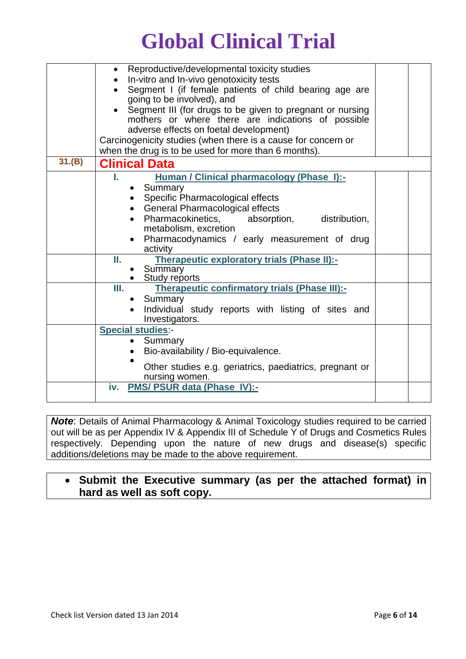|        | Reproductive/developmental toxicity studies<br>In-vitro and In-vivo genotoxicity tests<br>Segment I (if female patients of child bearing age are<br>going to be involved), and<br>Segment III (for drugs to be given to pregnant or nursing<br>mothers or where there are indications of possible<br>adverse effects on foetal development) |  |
|--------|---------------------------------------------------------------------------------------------------------------------------------------------------------------------------------------------------------------------------------------------------------------------------------------------------------------------------------------------|--|
|        | Carcinogenicity studies (when there is a cause for concern or<br>when the drug is to be used for more than 6 months).                                                                                                                                                                                                                       |  |
| 31.(B) | <b>Clinical Data</b>                                                                                                                                                                                                                                                                                                                        |  |
|        | Human / Clinical pharmacology (Phase I):-<br>L.<br>Summary<br>Specific Pharmacological effects<br>General Pharmacological effects<br>Pharmacokinetics,<br>absorption, distribution,<br>metabolism, excretion<br>• Pharmacodynamics / early measurement of drug<br>activity                                                                  |  |
|        | Therapeutic exploratory trials (Phase II):-<br>Ш.<br>Summary<br>• Study reports                                                                                                                                                                                                                                                             |  |
|        | Therapeutic confirmatory trials (Phase III):-<br>Ш.<br>Summary<br>Individual study reports with listing of sites and<br>Investigators.                                                                                                                                                                                                      |  |
|        | <b>Special studies:-</b><br>Summary<br>Bio-availability / Bio-equivalence.<br>Other studies e.g. geriatrics, paediatrics, pregnant or<br>nursing women.                                                                                                                                                                                     |  |
|        | <b>PMS/ PSUR data (Phase IV):-</b><br>iv.                                                                                                                                                                                                                                                                                                   |  |

**Note:** Details of Animal Pharmacology & Animal Toxicology studies required to be carried out will be as per Appendix IV & Appendix III of Schedule Y of Drugs and Cosmetics Rules respectively. Depending upon the nature of new drugs and disease(s) specific additions/deletions may be made to the above requirement.

### **Submit the Executive summary (as per the attached format) in hard as well as soft copy.**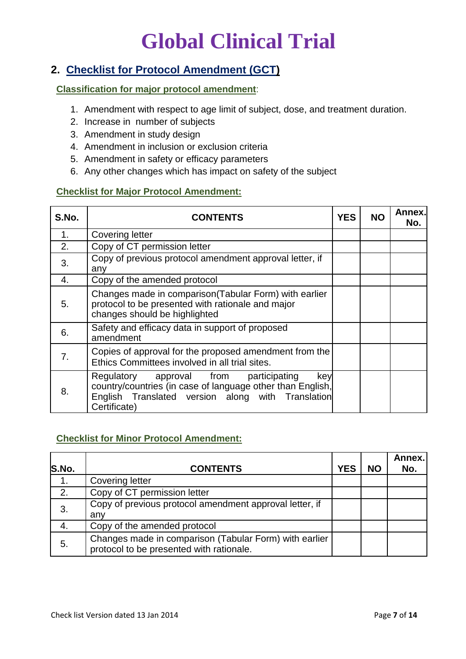### **2. Checklist for Protocol Amendment (GCT)**

### **Classification for major protocol amendment**:

- 1. Amendment with respect to age limit of subject, dose, and treatment duration.
- 2. Increase in number of subjects
- 3. Amendment in study design
- 4. Amendment in inclusion or exclusion criteria
- 5. Amendment in safety or efficacy parameters
- 6. Any other changes which has impact on safety of the subject

### **Checklist for Major Protocol Amendment:**

| S.No. | <b>CONTENTS</b>                                                                                                                                                                  | <b>YES</b> | <b>NO</b> | Annex.<br>No. |
|-------|----------------------------------------------------------------------------------------------------------------------------------------------------------------------------------|------------|-----------|---------------|
| 1.    | <b>Covering letter</b>                                                                                                                                                           |            |           |               |
| 2.    | Copy of CT permission letter                                                                                                                                                     |            |           |               |
| 3.    | Copy of previous protocol amendment approval letter, if<br>any                                                                                                                   |            |           |               |
| 4.    | Copy of the amended protocol                                                                                                                                                     |            |           |               |
| 5.    | Changes made in comparison (Tabular Form) with earlier<br>protocol to be presented with rationale and major<br>changes should be highlighted                                     |            |           |               |
| 6.    | Safety and efficacy data in support of proposed<br>amendment                                                                                                                     |            |           |               |
| 7.    | Copies of approval for the proposed amendment from the<br>Ethics Committees involved in all trial sites.                                                                         |            |           |               |
| 8.    | Regulatory approval from participating<br>key<br>country/countries (in case of language other than English,<br>English Translated version along with Translation<br>Certificate) |            |           |               |

#### **Checklist for Minor Protocol Amendment:**

|       |                                                                                                    |            |           | Annex. |
|-------|----------------------------------------------------------------------------------------------------|------------|-----------|--------|
| S.No. | <b>CONTENTS</b>                                                                                    | <b>YES</b> | <b>NO</b> | No.    |
| 1.    | <b>Covering letter</b>                                                                             |            |           |        |
| 2.    | Copy of CT permission letter                                                                       |            |           |        |
| 3.    | Copy of previous protocol amendment approval letter, if                                            |            |           |        |
|       | any                                                                                                |            |           |        |
| 4.    | Copy of the amended protocol                                                                       |            |           |        |
| 5.    | Changes made in comparison (Tabular Form) with earlier<br>protocol to be presented with rationale. |            |           |        |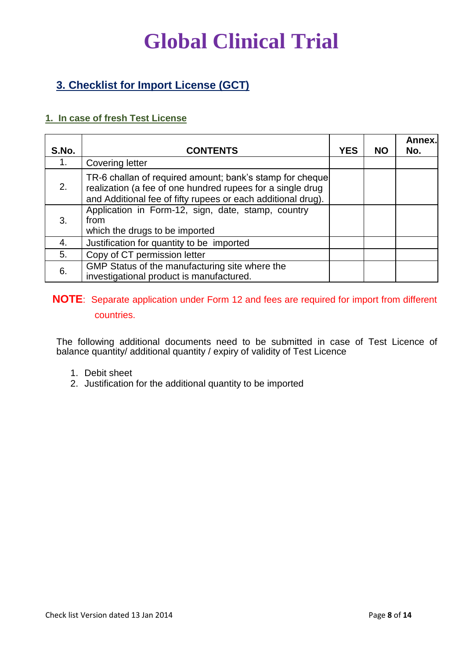### **3. Checklist for Import License (GCT)**

### **1. In case of fresh Test License**

| S.No. | <b>CONTENTS</b>                                                                                                                                                                        | <b>YES</b> | <b>NO</b> | Annex.<br>No. |
|-------|----------------------------------------------------------------------------------------------------------------------------------------------------------------------------------------|------------|-----------|---------------|
| 1.    | <b>Covering letter</b>                                                                                                                                                                 |            |           |               |
| 2.    | TR-6 challan of required amount; bank's stamp for cheque<br>realization (a fee of one hundred rupees for a single drug<br>and Additional fee of fifty rupees or each additional drug). |            |           |               |
| 3.    | Application in Form-12, sign, date, stamp, country<br>from<br>which the drugs to be imported                                                                                           |            |           |               |
| 4.    | Justification for quantity to be imported                                                                                                                                              |            |           |               |
| 5.    | Copy of CT permission letter                                                                                                                                                           |            |           |               |
| 6.    | GMP Status of the manufacturing site where the<br>investigational product is manufactured.                                                                                             |            |           |               |

### **NOTE**: Separate application under Form 12 and fees are required for import from different countries.

The following additional documents need to be submitted in case of Test Licence of balance quantity/ additional quantity / expiry of validity of Test Licence

- 1. Debit sheet
- 2. Justification for the additional quantity to be imported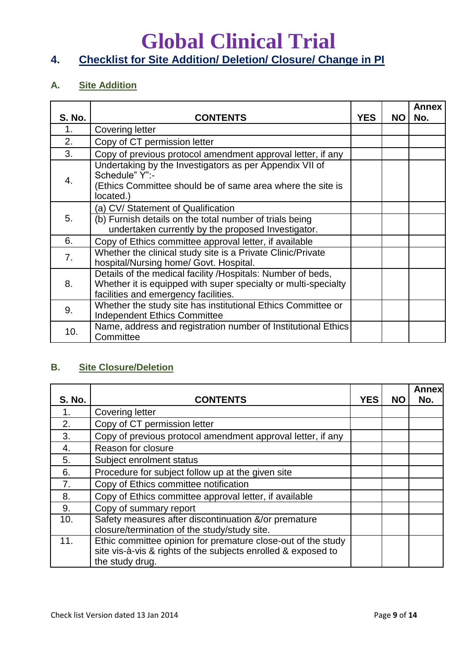## **Global Clinical Trial 4. Checklist for Site Addition/ Deletion/ Closure/ Change in PI**

### **A. Site Addition**

| <b>S. No.</b> | <b>CONTENTS</b>                                                                                                                                                       | <b>YES</b> | NO. | <b>Annex</b><br>No. |
|---------------|-----------------------------------------------------------------------------------------------------------------------------------------------------------------------|------------|-----|---------------------|
| 1.            | Covering letter                                                                                                                                                       |            |     |                     |
| 2.            | Copy of CT permission letter                                                                                                                                          |            |     |                     |
| 3.            | Copy of previous protocol amendment approval letter, if any                                                                                                           |            |     |                     |
| 4.            | Undertaking by the Investigators as per Appendix VII of<br>Schedule" Y":-<br>(Ethics Committee should be of same area where the site is<br>located.)                  |            |     |                     |
| 5.            | (a) CV/ Statement of Qualification<br>(b) Furnish details on the total number of trials being<br>undertaken currently by the proposed Investigator.                   |            |     |                     |
| 6.            | Copy of Ethics committee approval letter, if available                                                                                                                |            |     |                     |
| 7.            | Whether the clinical study site is a Private Clinic/Private<br>hospital/Nursing home/ Govt. Hospital.                                                                 |            |     |                     |
| 8.            | Details of the medical facility /Hospitals: Number of beds,<br>Whether it is equipped with super specialty or multi-specialty<br>facilities and emergency facilities. |            |     |                     |
| 9.            | Whether the study site has institutional Ethics Committee or<br><b>Independent Ethics Committee</b>                                                                   |            |     |                     |
| 10.           | Name, address and registration number of Institutional Ethics<br>Committee                                                                                            |            |     |                     |

### **B. Site Closure/Deletion**

| <b>S. No.</b>    | <b>CONTENTS</b>                                                                                                                                  | <b>YES</b> | <b>NO</b> | <b>Annex</b><br>No. |
|------------------|--------------------------------------------------------------------------------------------------------------------------------------------------|------------|-----------|---------------------|
| 1.               | <b>Covering letter</b>                                                                                                                           |            |           |                     |
| 2.               | Copy of CT permission letter                                                                                                                     |            |           |                     |
| 3.               | Copy of previous protocol amendment approval letter, if any                                                                                      |            |           |                     |
| $\overline{4}$ . | Reason for closure                                                                                                                               |            |           |                     |
| 5.               | Subject enrolment status                                                                                                                         |            |           |                     |
| 6.               | Procedure for subject follow up at the given site                                                                                                |            |           |                     |
| 7.               | Copy of Ethics committee notification                                                                                                            |            |           |                     |
| 8.               | Copy of Ethics committee approval letter, if available                                                                                           |            |           |                     |
| 9.               | Copy of summary report                                                                                                                           |            |           |                     |
| 10.              | Safety measures after discontinuation &/or premature<br>closure/termination of the study/study site.                                             |            |           |                     |
| 11.              | Ethic committee opinion for premature close-out of the study<br>site vis-à-vis & rights of the subjects enrolled & exposed to<br>the study drug. |            |           |                     |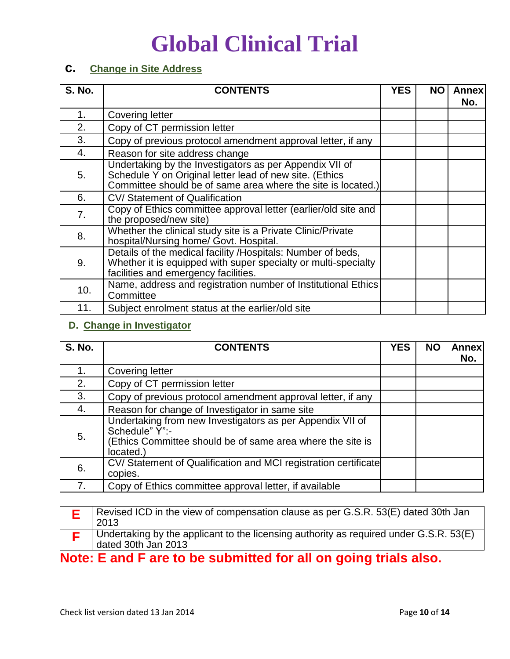### **c. Change in Site Address**

| <b>S. No.</b> | <b>CONTENTS</b>                                                                                                                                                                    | <b>YES</b> | ΝO | <b>Annex</b><br>No. |
|---------------|------------------------------------------------------------------------------------------------------------------------------------------------------------------------------------|------------|----|---------------------|
| 1.            | <b>Covering letter</b>                                                                                                                                                             |            |    |                     |
| 2.            | Copy of CT permission letter                                                                                                                                                       |            |    |                     |
| 3.            | Copy of previous protocol amendment approval letter, if any                                                                                                                        |            |    |                     |
| 4.            | Reason for site address change                                                                                                                                                     |            |    |                     |
| 5.            | Undertaking by the Investigators as per Appendix VII of<br>Schedule Y on Original letter lead of new site. (Ethics<br>Committee should be of same area where the site is located.) |            |    |                     |
| 6.            | CV/ Statement of Qualification                                                                                                                                                     |            |    |                     |
| 7.            | Copy of Ethics committee approval letter (earlier/old site and<br>the proposed/new site)                                                                                           |            |    |                     |
| 8.            | Whether the clinical study site is a Private Clinic/Private<br>hospital/Nursing home/ Govt. Hospital.                                                                              |            |    |                     |
| 9.            | Details of the medical facility /Hospitals: Number of beds,<br>Whether it is equipped with super specialty or multi-specialty<br>facilities and emergency facilities.              |            |    |                     |
| 10.           | Name, address and registration number of Institutional Ethics<br>Committee                                                                                                         |            |    |                     |
| 11.           | Subject enrolment status at the earlier/old site                                                                                                                                   |            |    |                     |

### **D. Change in Investigator**

| <b>S. No.</b> | <b>CONTENTS</b>                                                                                                                                        | <b>YES</b> | <b>NO</b> | <b>Annex</b><br>No. |
|---------------|--------------------------------------------------------------------------------------------------------------------------------------------------------|------------|-----------|---------------------|
|               | Covering letter                                                                                                                                        |            |           |                     |
| 2.            | Copy of CT permission letter                                                                                                                           |            |           |                     |
| 3.            | Copy of previous protocol amendment approval letter, if any                                                                                            |            |           |                     |
| 4.            | Reason for change of Investigator in same site                                                                                                         |            |           |                     |
| 5.            | Undertaking from new Investigators as per Appendix VII of<br>Schedule" Y":-<br>(Ethics Committee should be of same area where the site is<br>located.) |            |           |                     |
| 6.            | CV/ Statement of Qualification and MCI registration certificate<br>copies.                                                                             |            |           |                     |
| 7.            | Copy of Ethics committee approval letter, if available                                                                                                 |            |           |                     |

| Revised ICD in the view of compensation clause as per G.S.R. 53(E) dated 30th Jan<br>2013                     |
|---------------------------------------------------------------------------------------------------------------|
| Undertaking by the applicant to the licensing authority as required under G.S.R. 53(E)<br>dated 30th Jan 2013 |
|                                                                                                               |

**Note: E and F are to be submitted for all on going trials also.**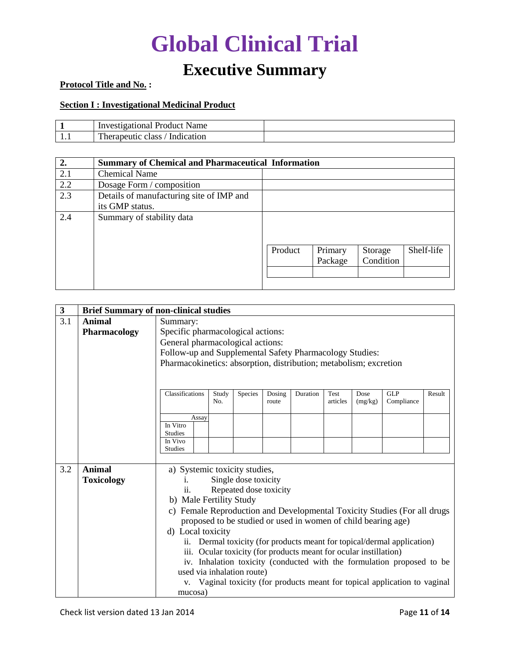### **Executive Summary**

### **Protocol Title and No. :**

#### **Section I : Investigational Medicinal Product**

|     | Product<br>Inve<br>Name<br>rational                         |  |
|-----|-------------------------------------------------------------|--|
| 1.1 | <b>TIME</b><br>109 t14<br>on<br>∵he∟<br>n.<br>-1114<br>™en. |  |

| 2.  | <b>Summary of Chemical and Pharmaceutical Information</b>   |         |                    |                      |            |  |
|-----|-------------------------------------------------------------|---------|--------------------|----------------------|------------|--|
| 2.1 | <b>Chemical Name</b>                                        |         |                    |                      |            |  |
| 2.2 | Dosage Form / composition                                   |         |                    |                      |            |  |
| 2.3 | Details of manufacturing site of IMP and<br>its GMP status. |         |                    |                      |            |  |
| 2.4 | Summary of stability data                                   |         |                    |                      |            |  |
|     |                                                             | Product | Primary<br>Package | Storage<br>Condition | Shelf-life |  |
|     |                                                             |         |                    |                      |            |  |

| $\mathbf{3}$ |                   | <b>Brief Summary of non-clinical studies</b>                                               |  |  |  |  |  |  |  |
|--------------|-------------------|--------------------------------------------------------------------------------------------|--|--|--|--|--|--|--|
| 3.1          | <b>Animal</b>     | Summary:                                                                                   |  |  |  |  |  |  |  |
|              | Pharmacology      | Specific pharmacological actions:                                                          |  |  |  |  |  |  |  |
|              |                   | General pharmacological actions:                                                           |  |  |  |  |  |  |  |
|              |                   | Follow-up and Supplemental Safety Pharmacology Studies:                                    |  |  |  |  |  |  |  |
|              |                   | Pharmacokinetics: absorption, distribution; metabolism; excretion                          |  |  |  |  |  |  |  |
|              |                   |                                                                                            |  |  |  |  |  |  |  |
|              |                   |                                                                                            |  |  |  |  |  |  |  |
|              |                   | Classifications<br>GLP<br>Duration<br>Study<br>Species<br>Dosing<br>Test<br>Dose<br>Result |  |  |  |  |  |  |  |
|              |                   | articles<br>No.<br>(mg/kg)<br>Compliance<br>route                                          |  |  |  |  |  |  |  |
|              |                   | Assay                                                                                      |  |  |  |  |  |  |  |
|              |                   | In Vitro                                                                                   |  |  |  |  |  |  |  |
|              |                   | <b>Studies</b><br>In Vivo                                                                  |  |  |  |  |  |  |  |
|              |                   | <b>Studies</b>                                                                             |  |  |  |  |  |  |  |
|              |                   |                                                                                            |  |  |  |  |  |  |  |
| 3.2          | <b>Animal</b>     | a) Systemic toxicity studies,                                                              |  |  |  |  |  |  |  |
|              | <b>Toxicology</b> | Single dose toxicity                                                                       |  |  |  |  |  |  |  |
|              |                   | Repeated dose toxicity<br>Ĥ.                                                               |  |  |  |  |  |  |  |
|              |                   | b) Male Fertility Study                                                                    |  |  |  |  |  |  |  |
|              |                   | Female Reproduction and Developmental Toxicity Studies (For all drugs<br>C)                |  |  |  |  |  |  |  |
|              |                   | proposed to be studied or used in women of child bearing age)                              |  |  |  |  |  |  |  |
|              |                   | d) Local toxicity                                                                          |  |  |  |  |  |  |  |
|              |                   | Dermal toxicity (for products meant for topical/dermal application)<br>ii.                 |  |  |  |  |  |  |  |
|              |                   | iii. Ocular toxicity (for products meant for ocular instillation)                          |  |  |  |  |  |  |  |
|              |                   | iv. Inhalation toxicity (conducted with the formulation proposed to be                     |  |  |  |  |  |  |  |
|              |                   | used via inhalation route)                                                                 |  |  |  |  |  |  |  |
|              |                   | Vaginal toxicity (for products meant for topical application to vaginal<br>V.              |  |  |  |  |  |  |  |
|              |                   | mucosa)                                                                                    |  |  |  |  |  |  |  |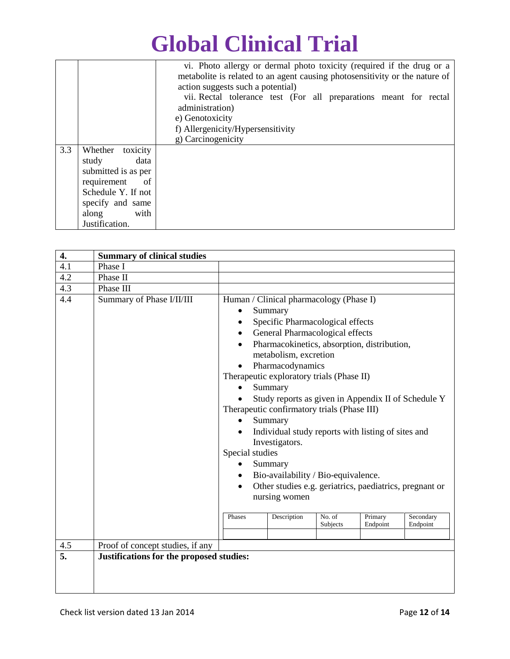|     |                              | vi. Photo allergy or dermal photo toxicity (required if the drug or a       |  |  |  |  |  |
|-----|------------------------------|-----------------------------------------------------------------------------|--|--|--|--|--|
|     |                              | metabolite is related to an agent causing photosensitivity or the nature of |  |  |  |  |  |
|     |                              | action suggests such a potential)                                           |  |  |  |  |  |
|     |                              | vii. Rectal tolerance test (For all preparations meant for rectal           |  |  |  |  |  |
|     |                              | administration)                                                             |  |  |  |  |  |
|     |                              | e) Genotoxicity                                                             |  |  |  |  |  |
|     |                              | f) Allergenicity/Hypersensitivity                                           |  |  |  |  |  |
|     |                              | g) Carcinogenicity                                                          |  |  |  |  |  |
| 3.3 | Whether toxicity             |                                                                             |  |  |  |  |  |
|     | data<br>study                |                                                                             |  |  |  |  |  |
|     | submitted is as per          |                                                                             |  |  |  |  |  |
|     | requirement<br><sub>of</sub> |                                                                             |  |  |  |  |  |
|     | Schedule Y. If not           |                                                                             |  |  |  |  |  |
|     | specify and same             |                                                                             |  |  |  |  |  |
|     | along<br>with                |                                                                             |  |  |  |  |  |
|     | Justification.               |                                                                             |  |  |  |  |  |

| 4.         | <b>Summary of clinical studies</b>                            |                                        |                                                                                                                                                                                                                                                                                                                                                                                                                                                                                                                                                                                                                     |                    |                     |                       |
|------------|---------------------------------------------------------------|----------------------------------------|---------------------------------------------------------------------------------------------------------------------------------------------------------------------------------------------------------------------------------------------------------------------------------------------------------------------------------------------------------------------------------------------------------------------------------------------------------------------------------------------------------------------------------------------------------------------------------------------------------------------|--------------------|---------------------|-----------------------|
| 4.1        | Phase I                                                       |                                        |                                                                                                                                                                                                                                                                                                                                                                                                                                                                                                                                                                                                                     |                    |                     |                       |
| 4.2        | Phase II                                                      |                                        |                                                                                                                                                                                                                                                                                                                                                                                                                                                                                                                                                                                                                     |                    |                     |                       |
| 4.3        | Phase III                                                     |                                        |                                                                                                                                                                                                                                                                                                                                                                                                                                                                                                                                                                                                                     |                    |                     |                       |
| 4.4<br>4.5 | Summary of Phase I/II/III<br>Proof of concept studies, if any | Special studies<br>$\bullet$<br>Phases | Human / Clinical pharmacology (Phase I)<br>Summary<br>Specific Pharmacological effects<br>General Pharmacological effects<br>Pharmacokinetics, absorption, distribution,<br>metabolism, excretion<br>Pharmacodynamics<br>Therapeutic exploratory trials (Phase II)<br>Summary<br>Study reports as given in Appendix II of Schedule Y<br>Therapeutic confirmatory trials (Phase III)<br>Summary<br>Individual study reports with listing of sites and<br>Investigators.<br>Summary<br>Bio-availability / Bio-equivalence.<br>Other studies e.g. geriatrics, paediatrics, pregnant or<br>nursing women<br>Description | No. of<br>Subjects | Primary<br>Endpoint | Secondary<br>Endpoint |
| 5.         | Justifications for the proposed studies:                      |                                        |                                                                                                                                                                                                                                                                                                                                                                                                                                                                                                                                                                                                                     |                    |                     |                       |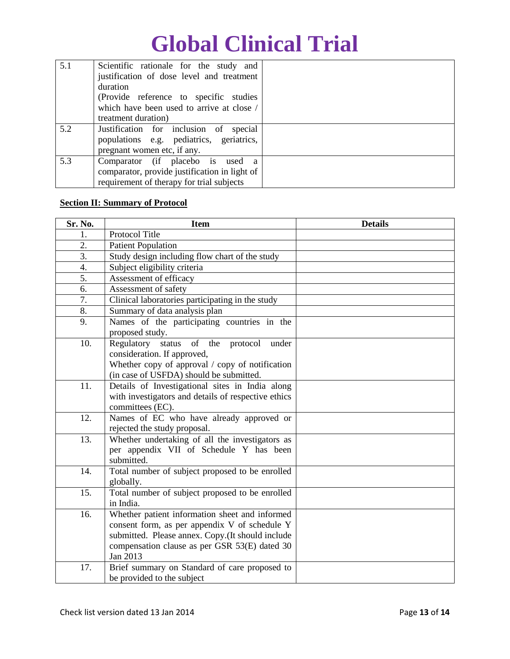| 5.1 | Scientific rationale for the study and        |  |
|-----|-----------------------------------------------|--|
|     | justification of dose level and treatment     |  |
|     | duration                                      |  |
|     | (Provide reference to specific studies)       |  |
|     | which have been used to arrive at close /     |  |
|     | treatment duration)                           |  |
| 5.2 | Justification for inclusion of<br>special     |  |
|     | populations e.g. pediatrics, geriatrics,      |  |
|     | pregnant women etc, if any.                   |  |
| 5.3 | Comparator (if placebo is used a              |  |
|     | comparator, provide justification in light of |  |
|     | requirement of therapy for trial subjects     |  |

### **Section II: Summary of Protocol**

| Sr. No.          | <b>Item</b>                                                  | <b>Details</b> |
|------------------|--------------------------------------------------------------|----------------|
| 1.               | Protocol Title                                               |                |
| 2.               | <b>Patient Population</b>                                    |                |
| $\overline{3}$ . | Study design including flow chart of the study               |                |
| 4.               | Subject eligibility criteria                                 |                |
| 5.               | Assessment of efficacy                                       |                |
| 6.               | Assessment of safety                                         |                |
| 7.               | Clinical laboratories participating in the study             |                |
| 8.               | Summary of data analysis plan                                |                |
| 9.               | Names of the participating countries in the                  |                |
|                  | proposed study.                                              |                |
| 10.              | Regulatory status<br>of the<br>protocol<br>under             |                |
|                  | consideration. If approved,                                  |                |
|                  | Whether copy of approval / copy of notification              |                |
|                  | (in case of USFDA) should be submitted.                      |                |
| 11.              | Details of Investigational sites in India along              |                |
|                  | with investigators and details of respective ethics          |                |
|                  | committees (EC).                                             |                |
| 12.              | Names of EC who have already approved or                     |                |
|                  | rejected the study proposal.                                 |                |
| 13.              | Whether undertaking of all the investigators as              |                |
|                  | per appendix VII of Schedule Y has been                      |                |
|                  | submitted.                                                   |                |
| 14.              | Total number of subject proposed to be enrolled              |                |
| 15.              | globally.<br>Total number of subject proposed to be enrolled |                |
|                  | in India.                                                    |                |
| 16.              | Whether patient information sheet and informed               |                |
|                  | consent form, as per appendix V of schedule Y                |                |
|                  | submitted. Please annex. Copy.(It should include             |                |
|                  | compensation clause as per GSR 53(E) dated 30                |                |
|                  | Jan 2013                                                     |                |
| 17.              | Brief summary on Standard of care proposed to                |                |
|                  | be provided to the subject                                   |                |